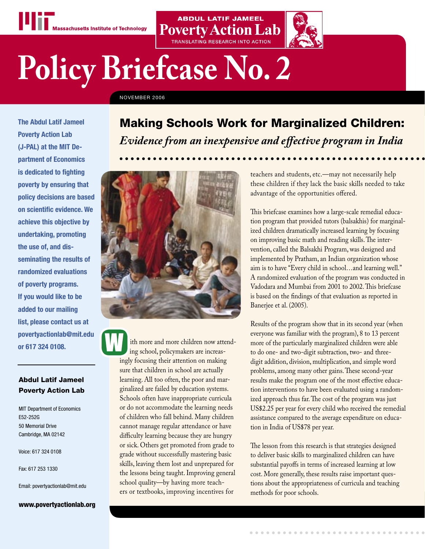

# **Policy Briefcase No. 2**

NOVEMBER 2006

**The Abdul Latif Jameel Poverty Action Lab (J-PAL) at the MIT Department of Economics is dedicated to fighting poverty by ensuring that policy decisions are based on scientific evidence. We achieve this objective by undertaking, promoting the use of, and disseminating the results of randomized evaluations of poverty programs. If you would like to be added to our mailing list, please contact us at povertyactionlab@mit.edu or 617 324 0108.**

# Abdul Latif Jameel Poverty Action Lab

MIT Department of Economics E52-252G 50 Memorial Drive Cambridge, MA 02142

Voice: 617 324 0108

Fax: 617 253 1330

Email: povertyactionlab@mit.edu

www.povertyactionlab.org

# Making Schools Work for Marginalized Children: *Evidence from an inexpensive and effective program in India*

**ABDUL LATIF JAMEEL** 

**Poverty Action Lab** 



ith more and more children now attend ing school, policymakers are increasingly focusing their attention on making sure that children in school are actually learning. All too often, the poor and marginalized are failed by education systems. Schools often have inappropriate curricula or do not accommodate the learning needs of children who fall behind. Many children cannot manage regular attendance or have difficulty learning because they are hungry or sick. Others get promoted from grade to grade without successfully mastering basic skills, leaving them lost and unprepared for the lessons being taught. Improving general school quality—by having more teachers or textbooks, improving incentives for

teachers and students, etc.—may not necessarily help these children if they lack the basic skills needed to take advantage of the opportunities offered.

This briefcase examines how a large-scale remedial education program that provided tutors (balsakhis) for marginalized children dramatically increased learning by focusing on improving basic math and reading skills. The intervention, called the Balsakhi Program, was designed and implemented by Pratham, an Indian organization whose aim is to have "Every child in school…and learning well." A randomized evaluation of the program was conducted in Vadodara and Mumbai from 2001 to 2002. This briefcase is based on the findings of that evaluation as reported in Banerjee et al. (2005).

Results of the program show that in its second year (when everyone was familiar with the program), 8 to 13 percent more of the particularly marginalized children were able to do one- and two-digit subtraction, two- and threedigit addition, division, multiplication, and simple word problems, among many other gains. These second-year results make the program one of the most effective education interventions to have been evaluated using a randomized approach thus far. The cost of the program was just US\$2.25 per year for every child who received the remedial assistance compared to the average expenditure on education in India of US\$78 per year.

The lesson from this research is that strategies designed to deliver basic skills to marginalized children can have substantial payoffs in terms of increased learning at low cost. More generally, these results raise important questions about the appropriateness of curricula and teaching methods for poor schools.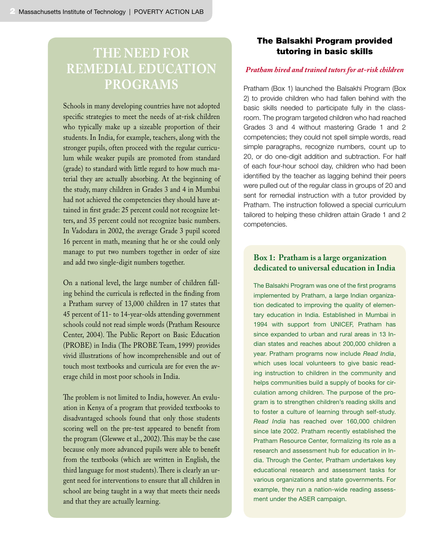# **THE NEED FOR REMEDIAL EDUCATION PROGRAMS**

Schools in many developing countries have not adopted specific strategies to meet the needs of at-risk children who typically make up a sizeable proportion of their students. In India, for example, teachers, along with the stronger pupils, often proceed with the regular curriculum while weaker pupils are promoted from standard (grade) to standard with little regard to how much material they are actually absorbing. At the beginning of the study, many children in Grades 3 and 4 in Mumbai had not achieved the competencies they should have attained in first grade: 25 percent could not recognize letters, and 35 percent could not recognize basic numbers. In Vadodara in 2002, the average Grade 3 pupil scored 16 percent in math, meaning that he or she could only manage to put two numbers together in order of size and add two single-digit numbers together.

On a national level, the large number of children falling behind the curricula is reflected in the finding from a Pratham survey of 13,000 children in 17 states that 45 percent of 11- to 14-year-olds attending government schools could not read simple words (Pratham Resource Center, 2004). The Public Report on Basic Education (PROBE) in India (The PROBE Team, 1999) provides vivid illustrations of how incomprehensible and out of touch most textbooks and curricula are for even the average child in most poor schools in India.

The problem is not limited to India, however. An evaluation in Kenya of a program that provided textbooks to disadvantaged schools found that only those students scoring well on the pre-test appeared to benefit from the program (Glewwe et al., 2002). This may be the case because only more advanced pupils were able to benefit from the textbooks (which are written in English, the third language for most students). There is clearly an urgent need for interventions to ensure that all children in school are being taught in a way that meets their needs and that they are actually learning.

# The Balsakhi Program provided tutoring in basic skills

#### *Pratham hired and trained tutors for at-risk children*

Pratham (Box 1) launched the Balsakhi Program (Box 2) to provide children who had fallen behind with the basic skills needed to participate fully in the classroom. The program targeted children who had reached Grades 3 and 4 without mastering Grade 1 and 2 competencies; they could not spell simple words, read simple paragraphs, recognize numbers, count up to 20, or do one-digit addition and subtraction. For half of each four-hour school day, children who had been identified by the teacher as lagging behind their peers were pulled out of the regular class in groups of 20 and sent for remedial instruction with a tutor provided by Pratham. The instruction followed a special curriculum tailored to helping these children attain Grade 1 and 2 competencies.

# **Box 1: Pratham is a large organization dedicated to universal education in India**

The Balsakhi Program was one of the first programs implemented by Pratham, a large Indian organization dedicated to improving the quality of elementary education in India. Established in Mumbai in 1994 with support from UNICEF, Pratham has since expanded to urban and rural areas in 13 Indian states and reaches about 200,000 children a year. Pratham programs now include *Read India*, which uses local volunteers to give basic reading instruction to children in the community and helps communities build a supply of books for circulation among children. The purpose of the program is to strengthen children's reading skills and to foster a culture of learning through self-study. *Read India* has reached over 160,000 children since late 2002. Pratham recently established the Pratham Resource Center, formalizing its role as a research and assessment hub for education in India. Through the Center, Pratham undertakes key educational research and assessment tasks for various organizations and state governments. For example, they run a nation-wide reading assessment under the ASER campaign.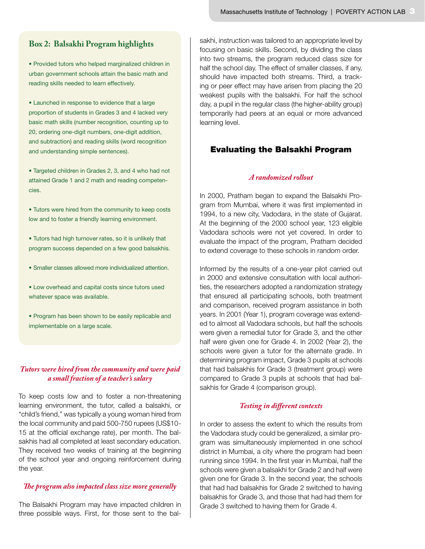#### **Box 2: Balsakhi Program highlights**

• Provided tutors who helped marginalized children in urban government schools attain the basic math and reading skills needed to learn effectively.

• Launched in response to evidence that a large proportion of students in Grades 3 and 4 lacked very basic math skills (number recognition, counting up to 20, ordering one-digit numbers, one-digit addition, and subtraction) and reading skills (word recognition and understanding simple sentences).

• Targeted children in Grades 2, 3, and 4 who had not attained Grade 1 and 2 math and reading competencies.

• Tutors were hired from the community to keep costs low and to foster a friendly learning environment.

• Tutors had high turnover rates, so it is unlikely that program success depended on a few good balsakhis.

• Smaller classes allowed more individualized attention.

• Low overhead and capital costs since tutors used whatever space was available.

• Program has been shown to be easily replicable and implementable on a large scale.

#### *Tutors were hired from the community and were paid a small fraction of a teacher's salary*

To keep costs low and to foster a non-threatening learning environment, the tutor, called a balsakhi, or "child's friend," was typically a young woman hired from the local community and paid 500-750 rupees (US\$10- 15 at the official exchange rate), per month. The balsakhis had all completed at least secondary education. They received two weeks of training at the beginning of the school year and ongoing reinforcement during the year.

#### *The program also impacted class size more generally*

The Balsakhi Program may have impacted children in three possible ways. First, for those sent to the balsakhi, instruction was tailored to an appropriate level by focusing on basic skills. Second, by dividing the class into two streams, the program reduced class size for half the school day. The effect of smaller classes, if any, should have impacted both streams. Third, a tracking or peer effect may have arisen from placing the 20 weakest pupils with the balsakhi. For half the school day, a pupil in the regular class (the higher-ability group) temporarily had peers at an equal or more advanced learning level.

# Evaluating the Balsakhi Program

#### *A randomized rollout*

In 2000, Pratham began to expand the Balsakhi Program from Mumbai, where it was first implemented in 1994, to a new city, Vadodara, in the state of Gujarat. At the beginning of the 2000 school year, 123 eligible Vadodara schools were not yet covered. In order to evaluate the impact of the program, Pratham decided to extend coverage to these schools in random order.

Informed by the results of a one-year pilot carried out in 2000 and extensive consultation with local authorities, the researchers adopted a randomization strategy that ensured all participating schools, both treatment and comparison, received program assistance in both years. In 2001 (Year 1), program coverage was extended to almost all Vadodara schools, but half the schools were given a remedial tutor for Grade 3, and the other half were given one for Grade 4. In 2002 (Year 2), the schools were given a tutor for the alternate grade. In determining program impact, Grade 3 pupils at schools that had balsakhis for Grade 3 (treatment group) were compared to Grade 3 pupils at schools that had balsakhis for Grade 4 (comparison group).

#### *Testing in different contexts*

In order to assess the extent to which the results from the Vadodara study could be generalized, a similar program was simultaneously implemented in one school district in Mumbai, a city where the program had been running since 1994. In the first year in Mumbai, half the schools were given a balsakhi for Grade 2 and half were given one for Grade 3. In the second year, the schools that had had balsakhis for Grade 2 switched to having balsakhis for Grade 3, and those that had had them for Grade 3 switched to having them for Grade 4.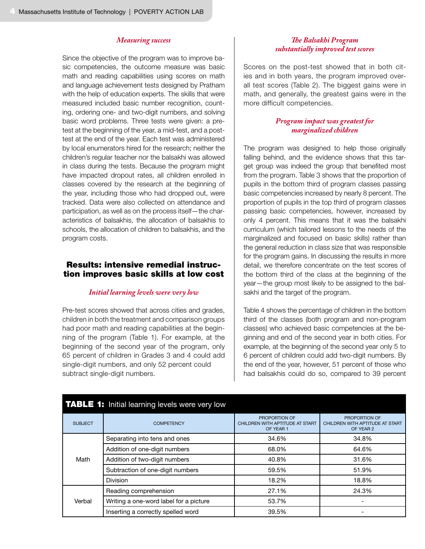#### *Measuring success*

Since the objective of the program was to improve basic competencies, the outcome measure was basic math and reading capabilities using scores on math and language achievement tests designed by Pratham with the help of education experts. The skills that were measured included basic number recognition, counting, ordering one- and two-digit numbers, and solving basic word problems. Three tests were given: a pretest at the beginning of the year, a mid-test, and a posttest at the end of the year. Each test was administered by local enumerators hired for the research; neither the children's regular teacher nor the balsakhi was allowed in class during the tests. Because the program might have impacted dropout rates, all children enrolled in classes covered by the research at the beginning of the year, including those who had dropped out, were tracked. Data were also collected on attendance and participation, as well as on the process itself—the characteristics of balsakhis, the allocation of balsakhis to schools, the allocation of children to balsakhis, and the program costs.

#### Results: intensive remedial instruction improves basic skills at low cost

#### *Initial learning levels were very low*

Pre-test scores showed that across cities and grades, children in both the treatment and comparison groups had poor math and reading capabilities at the beginning of the program (Table 1). For example, at the beginning of the second year of the program, only 65 percent of children in Grades 3 and 4 could add single-digit numbers, and only 52 percent could subtract single-digit numbers.

#### *The Balsakhi Program substantially improved test scores*

Scores on the post-test showed that in both cities and in both years, the program improved overall test scores (Table 2). The biggest gains were in math, and generally, the greatest gains were in the more difficult competencies.

#### *Program impact was greatest for marginalized children*

The program was designed to help those originally falling behind, and the evidence shows that this target group was indeed the group that benefited most from the program. Table 3 shows that the proportion of pupils in the bottom third of program classes passing basic competencies increased by nearly 8 percent. The proportion of pupils in the top third of program classes passing basic competencies, however, increased by only 4 percent. This means that it was the balsakhi curriculum (which tailored lessons to the needs of the marginalized and focused on basic skills) rather than the general reduction in class size that was responsible for the program gains. In discussing the results in more detail, we therefore concentrate on the test scores of the bottom third of the class at the beginning of the year—the group most likely to be assigned to the balsakhi and the target of the program.

Table 4 shows the percentage of children in the bottom third of the classes (both program and non-program classes) who achieved basic competencies at the beginning and end of the second year in both cities. For example, at the beginning of the second year only 5 to 6 percent of children could add two-digit numbers. By the end of the year, however, 51 percent of those who had balsakhis could do so, compared to 39 percent

|                | <b>TABLE 1:</b> Initial learning levels were very low |                                                                                                               |                                                               |  |
|----------------|-------------------------------------------------------|---------------------------------------------------------------------------------------------------------------|---------------------------------------------------------------|--|
| <b>SUBJECT</b> | <b>COMPETENCY</b>                                     | PROPORTION OF<br>CHILDREN WITH APTITUDE AT START<br>OF YEAR 1                                                 | PROPORTION OF<br>CHILDREN WITH APTITUDE AT START<br>OF YEAR 2 |  |
|                | Separating into tens and ones                         | 34.6%                                                                                                         | 34.8%                                                         |  |
|                | Addition of one-digit numbers                         | 68.0%<br>64.6%<br>40.8%<br>31.6%<br>59.5%<br>51.9%<br>18.2%<br>18.8%<br>27.1%<br>24.3%<br>53.7%<br>-<br>39.5% |                                                               |  |
| Math           | Addition of two-digit numbers                         |                                                                                                               |                                                               |  |
|                | Subtraction of one-digit numbers                      |                                                                                                               |                                                               |  |
|                | <b>Division</b>                                       |                                                                                                               |                                                               |  |
|                | Reading comprehension                                 |                                                                                                               |                                                               |  |
| Verbal         | Writing a one-word label for a picture                |                                                                                                               |                                                               |  |
|                | Inserting a correctly spelled word                    |                                                                                                               |                                                               |  |

# **TABLE 1:** Initial learning levels were very low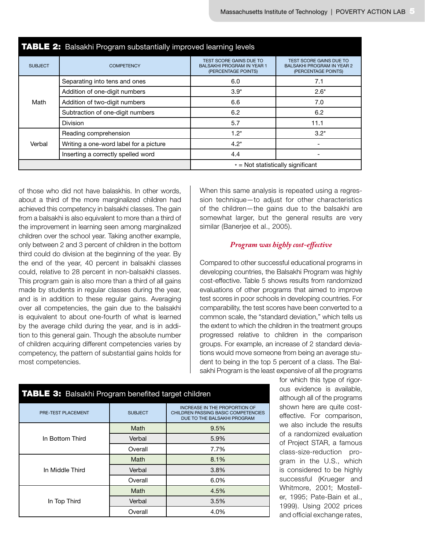| <b>TABLE 2:</b> Balsakhi Program substantially improved learning levels |                                        |                                                                                            |                                                                                            |  |  |  |  |
|-------------------------------------------------------------------------|----------------------------------------|--------------------------------------------------------------------------------------------|--------------------------------------------------------------------------------------------|--|--|--|--|
| <b>SUBJECT</b>                                                          | <b>COMPETENCY</b>                      | <b>TEST SCORE GAINS DUE TO</b><br><b>BALSAKHI PROGRAM IN YEAR 1</b><br>(PERCENTAGE POINTS) | <b>TEST SCORE GAINS DUE TO</b><br><b>BALSAKHI PROGRAM IN YEAR 2</b><br>(PERCENTAGE POINTS) |  |  |  |  |
|                                                                         | Separating into tens and ones          | 6.0                                                                                        | 7.1                                                                                        |  |  |  |  |
|                                                                         | Addition of one-digit numbers          | $3.9*$<br>$2.6*$<br>6.6<br>7.0<br>6.2<br>6.2<br>5.7<br>11.1<br>$3.2*$<br>$1.2*$<br>$4.2*$  |                                                                                            |  |  |  |  |
| Math                                                                    | Addition of two-digit numbers          |                                                                                            |                                                                                            |  |  |  |  |
|                                                                         | Subtraction of one-digit numbers       |                                                                                            |                                                                                            |  |  |  |  |
|                                                                         | Division                               |                                                                                            |                                                                                            |  |  |  |  |
|                                                                         | Reading comprehension                  |                                                                                            |                                                                                            |  |  |  |  |
| Verbal                                                                  | Writing a one-word label for a picture |                                                                                            | 4.4                                                                                        |  |  |  |  |
|                                                                         | Inserting a correctly spelled word     |                                                                                            |                                                                                            |  |  |  |  |
|                                                                         |                                        | $*$ = Not statistically significant                                                        |                                                                                            |  |  |  |  |

of those who did not have balaskhis. In other words, about a third of the more marginalized children had achieved this competency in balsakhi classes. The gain from a balsakhi is also equivalent to more than a third of the improvement in learning seen among marginalized children over the school year. Taking another example, only between 2 and 3 percent of children in the bottom third could do division at the beginning of the year. By the end of the year, 40 percent in balsakhi classes could, relative to 28 percent in non-balsakhi classes. This program gain is also more than a third of all gains made by students in regular classes during the year, and is in addition to these regular gains. Averaging over all competencies, the gain due to the balsakhi is equivalent to about one-fourth of what is learned by the average child during the year, and is in addition to this general gain. Though the absolute number of children acquiring different competencies varies by competency, the pattern of substantial gains holds for most competencies.

When this same analysis is repeated using a regression technique—to adjust for other characteristics of the children—the gains due to the balsakhi are somewhat larger, but the general results are very similar (Banerjee et al., 2005).

#### *Program was highly cost-effective*

Compared to other successful educational programs in developing countries, the Balsakhi Program was highly cost-effective. Table 5 shows results from randomized evaluations of other programs that aimed to improve test scores in poor schools in developing countries. For comparability, the test scores have been converted to a common scale, the "standard deviation," which tells us the extent to which the children in the treatment groups progressed relative to children in the comparison groups. For example, an increase of 2 standard deviations would move someone from being an average student to being in the top 5 percent of a class. The Balsakhi Program is the least expensive of all the programs

> for which this type of rigorous evidence is available, although all of the programs shown here are quite costeffective. For comparison, we also include the results of a randomized evaluation of Project STAR, a famous class-size-reduction program in the U.S., which is considered to be highly successful (Krueger and Whitmore, 2001; Mosteller, 1995; Pate-Bain et al., 1999). Using 2002 prices and official exchange rates,

| <b>TABLE 3:</b> Balsakhi Program benefited target children |                |                                                                                                            |  |  |  |  |  |
|------------------------------------------------------------|----------------|------------------------------------------------------------------------------------------------------------|--|--|--|--|--|
| PRE-TEST PLACEMENT                                         | <b>SUBJECT</b> | <b>INCREASE IN THE PROPORTION OF</b><br>CHILDREN PASSING BASIC COMPETENCIES<br>DUE TO THE BALSAKHI PROGRAM |  |  |  |  |  |
|                                                            | Math           | 9.5%                                                                                                       |  |  |  |  |  |
| In Bottom Third                                            | Verbal         | 5.9%                                                                                                       |  |  |  |  |  |
|                                                            | Overall        | 7.7%                                                                                                       |  |  |  |  |  |
|                                                            | Math           | 8.1%                                                                                                       |  |  |  |  |  |
| In Middle Third                                            | Verbal         | 3.8%                                                                                                       |  |  |  |  |  |
|                                                            | Overall        | 6.0%                                                                                                       |  |  |  |  |  |
|                                                            | Math           | 4.5%                                                                                                       |  |  |  |  |  |
| In Top Third                                               | Verbal         | 3.5%                                                                                                       |  |  |  |  |  |
|                                                            | Overall        | 4.0%                                                                                                       |  |  |  |  |  |

## TABLE 3: Balsakhi Program benefited target children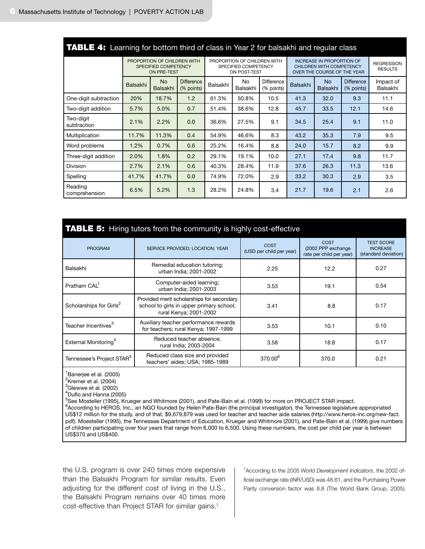| <b>TABLE 4:</b> Learning for bottom third of class in Year 2 for balsakhi and regular class |                 |                                                                     |                                 |                                                                                             |                |                                 |                                     |                       |                                 |                       |
|---------------------------------------------------------------------------------------------|-----------------|---------------------------------------------------------------------|---------------------------------|---------------------------------------------------------------------------------------------|----------------|---------------------------------|-------------------------------------|-----------------------|---------------------------------|-----------------------|
| PROPORTION OF CHILDREN WITH<br>SPECIFIED COMPETENCY<br>ON PRE-TEST                          |                 | PROPORTION OF CHILDREN WITH<br>SPECIFIED COMPETENCY<br>ON POST-TEST |                                 | <b>INCREASE IN PROPORTION OF</b><br>CHILDREN WITH COMPETENCY<br>OVER THE COURSE OF THE YEAR |                |                                 | <b>REGRESSION</b><br><b>RESULTS</b> |                       |                                 |                       |
|                                                                                             | <b>Balsakhi</b> | No<br><b>Balsakhi</b>                                               | <b>Difference</b><br>(% points) | Balsakhi                                                                                    | No<br>Balsakhi | <b>Difference</b><br>(% points) | <b>Balsakhi</b>                     | <b>No</b><br>Balsakhi | <b>Difference</b><br>(% points) | Impact of<br>Balsakhi |
| One-digit subtraction                                                                       | 20%             | 18.7%                                                               | 1.2                             | 61.3%                                                                                       | 50.8%          | 10.5                            | 41.3                                | 32.0                  | 9.3                             | 11.1                  |
| Two-digit addition                                                                          | 5.7%            | 5.0%                                                                | 0.7                             | 51.4%                                                                                       | 38.6%          | 12.8                            | 45.7                                | 33.5                  | 12.1                            | 14.6                  |
| Two-digit<br>subtraction                                                                    | 2.1%            | 2.2%                                                                | 0.0                             | 36.6%                                                                                       | 27.5%          | 9.1                             | 34.5                                | 25.4                  | 9.1                             | 11.0                  |
| Multiplication                                                                              | 11.7%           | 11.3%                                                               | 0.4                             | 54.9%                                                                                       | 46.6%          | 8.3                             | 43.2                                | 35.3                  | 7.9                             | 9.5                   |
| Word problems                                                                               | 1.2%            | 0.7%                                                                | 0.6                             | 25.2%                                                                                       | 16.4%          | 8.8                             | 24.0                                | 15.7                  | 8.2                             | 9.9                   |
| Three-digit addition                                                                        | 2.0%            | 1.8%                                                                | 0.2                             | 29.1%                                                                                       | 19.1%          | 10.0                            | 27.1                                | 17.4                  | 9.8                             | 11.7                  |
| <b>Division</b>                                                                             | 2.7%            | 2.1%                                                                | 0.6                             | 40.3%                                                                                       | 28.4%          | 11.9                            | 37.6                                | 26.3                  | 11.3                            | 13.6                  |
| Spelling                                                                                    | 41.7%           | 41.7%                                                               | 0.0                             | 74.9%                                                                                       | 72.0%          | 2.9                             | 33.2                                | 30.3                  | 2.9                             | 3.5                   |
| Reading<br>comprehension                                                                    | 6.5%            | 5.2%                                                                | 1.3                             | 28.2%                                                                                       | 24.8%          | 3.4                             | 21.7                                | 19.6                  | 2.1                             | 2.6                   |

# TABLE 4: Learning for bottom third of class in Year 2 for balsakhi and regular class

# TABLE 5: Hiring tutors from the community is highly cost-effective

| <b>PROGRAM</b>                        | SERVICE PROVIDED; LOCATION; YEAR                                                                                | COST<br>(USD per child per year) | COST<br>(2002 PPP exchange<br>rate per child per year) | <b>TEST SCORE</b><br><b>INCREASE</b><br>(standard deviation) |
|---------------------------------------|-----------------------------------------------------------------------------------------------------------------|----------------------------------|--------------------------------------------------------|--------------------------------------------------------------|
| Balsakhi                              | Remedial education tutoring;<br>urban India; 2001-2002                                                          | 2.25                             | 12.2                                                   | 0.27                                                         |
| Pratham CAI <sup>1</sup>              | Computer-aided learning;<br>urban India; 2001-2003                                                              | 3.53                             | 19.1                                                   | 0.54                                                         |
| Scholarships for Girls <sup>2</sup>   | Provided merit scholarships for secondary<br>school to girls in upper primary school;<br>rural Kenya; 2001-2002 | 3.41                             | 8.8                                                    | 0.17                                                         |
| Teacher Incentives <sup>3</sup>       | Auxiliary teacher performance rewards<br>for teachers; rural Kenya; 1997-1999                                   | 3.53                             | 10.1                                                   | 0.10                                                         |
| External Monitoring <sup>4</sup>      | Reduced teacher absence;<br>rural India; 2003-2004                                                              | 3.58                             | 18.8                                                   | 0.17                                                         |
| Tennessee's Project STAR <sup>5</sup> | Reduced class size and provided<br>teachers' aides; USA; 1985-1989                                              | 370.00 <sup>6</sup>              | 370.0                                                  | 0.21                                                         |

<sup>1</sup> Banerjee et al. (2005)

 $2$ Kremer et al. (2004)

 $^3$ Glewwe et al. (2002)

 $4$ Duflo and Hanna (2005)

<sup>5</sup>See Mosteller (1995), Krueger and Whitmore (2001), and Pate-Bain et al. (1999) for more on PROJECT STAR impact. <sup>6</sup>According to HEROS, Inc., an NGO founded by Helen Pate-Bain (the principal investigator), the Tennessee legislature appropriated US\$12 million for the study, and of that, \$9,679,879 was used for teacher and teacher aide salaries (http://www.heros-inc.org/new-fact. pdf). Moesteller (1995), the Tennessee Department of Education, Krueger and Whitmore (2001), and Pate-Bain et al. (1999) give numbers of children participating over four years that range from 6,000 to 6,500. Using these numbers, the cost per child per year is between US\$370 and US\$400.

the U.S. program is over 240 times more expensive than the Balsakhi Program for similar results. Even adjusting for the different cost of living in the U.S., the Balsakhi Program remains over 40 times more cost-effective than Project STAR for similar gains.<sup>1</sup>

1 According to the 2005 *World Development Indicators*, the 2002 official exchange rate (INR/USD) was 48.61, and the Purchasing Power Parity conversion factor was 8.8 (The World Bank Group, 2005).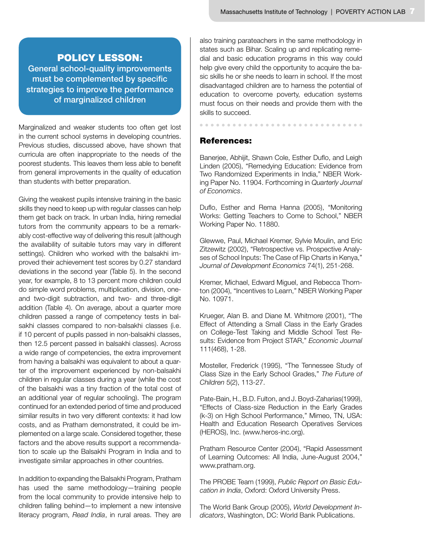# POLICY LESSON:

General school-quality improvements must be complemented by specific strategies to improve the performance of marginalized children

Marginalized and weaker students too often get lost in the current school systems in developing countries. Previous studies, discussed above, have shown that curricula are often inappropriate to the needs of the poorest students. This leaves them less able to benefit from general improvements in the quality of education than students with better preparation.

Giving the weakest pupils intensive training in the basic skills they need to keep up with regular classes can help them get back on track. In urban India, hiring remedial tutors from the community appears to be a remarkably cost-effective way of delivering this result (although the availability of suitable tutors may vary in different settings). Children who worked with the balsakhi improved their achievement test scores by 0.27 standard deviations in the second year (Table 5). In the second year, for example, 8 to 13 percent more children could do simple word problems, multiplication, division, oneand two-digit subtraction, and two- and three-digit addition (Table 4). On average, about a quarter more children passed a range of competency tests in balsakhi classes compared to non-balsakhi classes (i.e. if 10 percent of pupils passed in non-balsakhi classes, then 12.5 percent passed in balsakhi classes). Across a wide range of competencies, the extra improvement from having a balsakhi was equivalent to about a quarter of the improvement experienced by non-balsakhi children in regular classes during a year (while the cost of the balsakhi was a tiny fraction of the total cost of an additional year of regular schooling). The program continued for an extended period of time and produced similar results in two very different contexts: it had low costs, and as Pratham demonstrated, it could be implemented on a large scale. Considered together, these factors and the above results support a recommendation to scale up the Balsakhi Program in India and to investigate similar approaches in other countries.

In addition to expanding the Balsakhi Program, Pratham has used the same methodology—training people from the local community to provide intensive help to children falling behind—to implement a new intensive literacy program, *Read India*, in rural areas. They are

also training parateachers in the same methodology in states such as Bihar. Scaling up and replicating remedial and basic education programs in this way could help give every child the opportunity to acquire the basic skills he or she needs to learn in school. If the most disadvantaged children are to harness the potential of education to overcome poverty, education systems must focus on their needs and provide them with the skills to succeed.

## References:

Banerjee, Abhijit, Shawn Cole, Esther Duflo, and Leigh Linden (2005), "Remedying Education: Evidence from Two Randomized Experiments in India," NBER Working Paper No. 11904. Forthcoming in *Quarterly Journal of Economics*.

Duflo, Esther and Rema Hanna (2005), "Monitoring Works: Getting Teachers to Come to School," NBER Working Paper No. 11880.

Glewwe, Paul, Michael Kremer, Sylvie Moulin, and Eric Zitzewitz (2002), "Retrospective vs. Prospective Analyses of School Inputs: The Case of Flip Charts in Kenya," *Journal of Development Economics* 74(1), 251-268.

Kremer, Michael, Edward Miguel, and Rebecca Thornton (2004), "Incentives to Learn," NBER Working Paper No. 10971.

Krueger, Alan B. and Diane M. Whitmore (2001), "The Effect of Attending a Small Class in the Early Grades on College-Test Taking and Middle School Test Results: Evidence from Project STAR," *Economic Journal*  111(468), 1-28.

Mosteller, Frederick (1995), "The Tennessee Study of Class Size in the Early School Grades," *The Future of Children* 5(2), 113-27.

Pate-Bain, H., B.D. Fulton, and J. Boyd-Zaharias(1999), "Effects of Class-size Reduction in the Early Grades (k-3) on High School Performance," Mimeo, TN, USA: Health and Education Research Operatives Services (HEROS), Inc. (www.heros-inc.org).

Pratham Resource Center (2004), "Rapid Assessment of Learning Outcomes: All India, June-August 2004," www.pratham.org.

The PROBE Team (1999), *Public Report on Basic Education in India*, Oxford: Oxford University Press.

The World Bank Group (2005), *World Development Indicators*, Washington, DC: World Bank Publications.